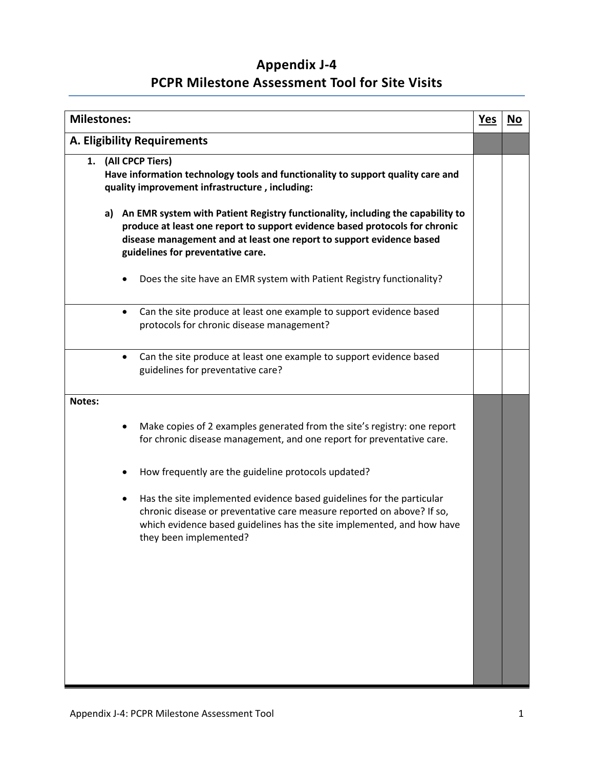## **Appendix J-4 PCPR Milestone Assessment Tool for Site Visits**

| <b>Milestones:</b> |           |                                                                                                                                                                                                                                                                               | <u>Yes</u> | <u>No</u> |
|--------------------|-----------|-------------------------------------------------------------------------------------------------------------------------------------------------------------------------------------------------------------------------------------------------------------------------------|------------|-----------|
|                    |           | <b>A. Eligibility Requirements</b>                                                                                                                                                                                                                                            |            |           |
|                    |           | 1. (All CPCP Tiers)<br>Have information technology tools and functionality to support quality care and<br>quality improvement infrastructure, including:                                                                                                                      |            |           |
|                    |           | a) An EMR system with Patient Registry functionality, including the capability to<br>produce at least one report to support evidence based protocols for chronic<br>disease management and at least one report to support evidence based<br>guidelines for preventative care. |            |           |
|                    |           | Does the site have an EMR system with Patient Registry functionality?                                                                                                                                                                                                         |            |           |
|                    | $\bullet$ | Can the site produce at least one example to support evidence based<br>protocols for chronic disease management?                                                                                                                                                              |            |           |
|                    |           | Can the site produce at least one example to support evidence based<br>guidelines for preventative care?                                                                                                                                                                      |            |           |
| Notes:             |           |                                                                                                                                                                                                                                                                               |            |           |
|                    |           | Make copies of 2 examples generated from the site's registry: one report<br>for chronic disease management, and one report for preventative care.                                                                                                                             |            |           |
|                    |           | How frequently are the guideline protocols updated?                                                                                                                                                                                                                           |            |           |
|                    | ٠         | Has the site implemented evidence based guidelines for the particular<br>chronic disease or preventative care measure reported on above? If so,<br>which evidence based guidelines has the site implemented, and how have<br>they been implemented?                           |            |           |
|                    |           |                                                                                                                                                                                                                                                                               |            |           |
|                    |           |                                                                                                                                                                                                                                                                               |            |           |
|                    |           |                                                                                                                                                                                                                                                                               |            |           |
|                    |           |                                                                                                                                                                                                                                                                               |            |           |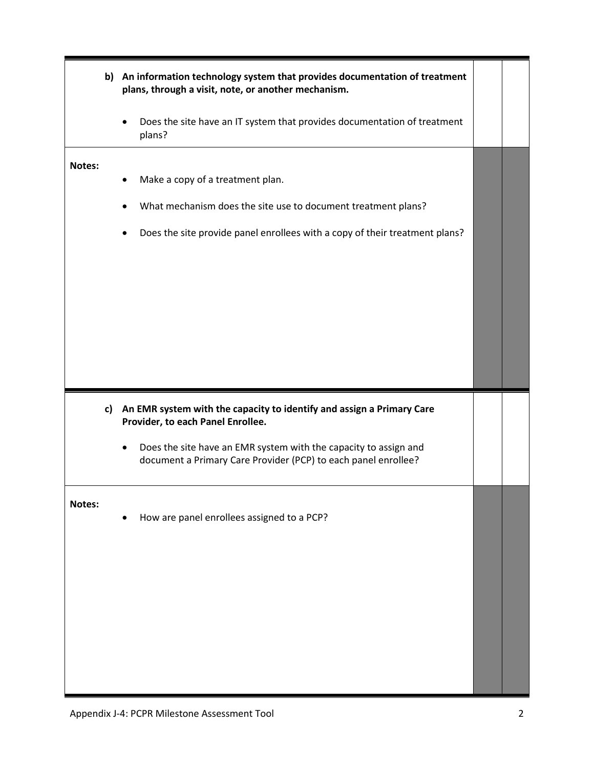|        | b) An information technology system that provides documentation of treatment<br>plans, through a visit, note, or another mechanism.                                              |  |
|--------|----------------------------------------------------------------------------------------------------------------------------------------------------------------------------------|--|
|        | Does the site have an IT system that provides documentation of treatment<br>plans?                                                                                               |  |
| Notes: | Make a copy of a treatment plan.<br>What mechanism does the site use to document treatment plans?<br>Does the site provide panel enrollees with a copy of their treatment plans? |  |
|        |                                                                                                                                                                                  |  |
|        | c) An EMR system with the capacity to identify and assign a Primary Care<br>Provider, to each Panel Enrollee.                                                                    |  |
|        | Does the site have an EMR system with the capacity to assign and<br>document a Primary Care Provider (PCP) to each panel enrollee?                                               |  |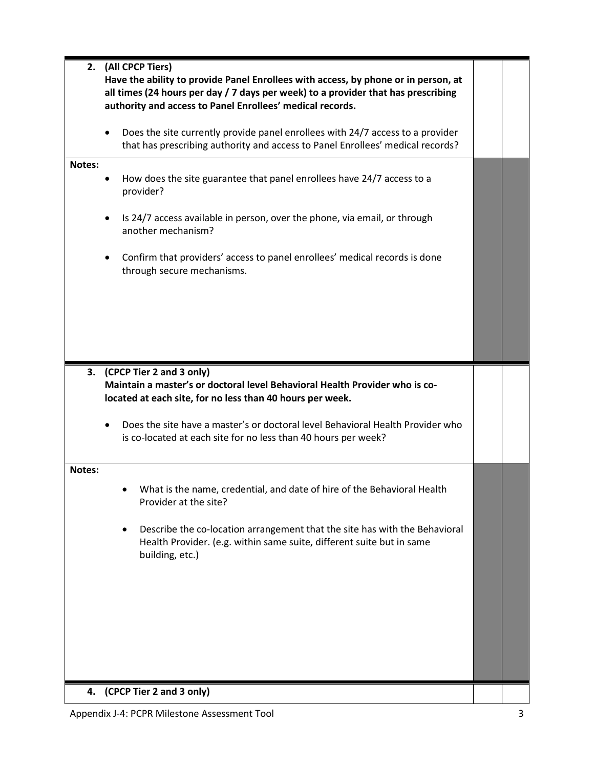| 2.     | (All CPCP Tiers)                                                                                                                                                                                                                     |  |
|--------|--------------------------------------------------------------------------------------------------------------------------------------------------------------------------------------------------------------------------------------|--|
|        | Have the ability to provide Panel Enrollees with access, by phone or in person, at<br>all times (24 hours per day / 7 days per week) to a provider that has prescribing<br>authority and access to Panel Enrollees' medical records. |  |
|        | Does the site currently provide panel enrollees with 24/7 access to a provider<br>that has prescribing authority and access to Panel Enrollees' medical records?                                                                     |  |
| Notes: | How does the site guarantee that panel enrollees have 24/7 access to a<br>provider?                                                                                                                                                  |  |
|        | Is 24/7 access available in person, over the phone, via email, or through<br>another mechanism?                                                                                                                                      |  |
|        | Confirm that providers' access to panel enrollees' medical records is done<br>through secure mechanisms.                                                                                                                             |  |
|        |                                                                                                                                                                                                                                      |  |
|        |                                                                                                                                                                                                                                      |  |
|        | 3. (CPCP Tier 2 and 3 only)<br>Maintain a master's or doctoral level Behavioral Health Provider who is co-<br>located at each site, for no less than 40 hours per week.                                                              |  |
|        | Does the site have a master's or doctoral level Behavioral Health Provider who<br>is co-located at each site for no less than 40 hours per week?                                                                                     |  |
| Notes: |                                                                                                                                                                                                                                      |  |
|        | What is the name, credential, and date of hire of the Behavioral Health<br>Provider at the site?                                                                                                                                     |  |
|        | Describe the co-location arrangement that the site has with the Behavioral<br>Health Provider. (e.g. within same suite, different suite but in same<br>building, etc.)                                                               |  |
|        |                                                                                                                                                                                                                                      |  |
|        |                                                                                                                                                                                                                                      |  |
|        |                                                                                                                                                                                                                                      |  |
| 4.     | (CPCP Tier 2 and 3 only)                                                                                                                                                                                                             |  |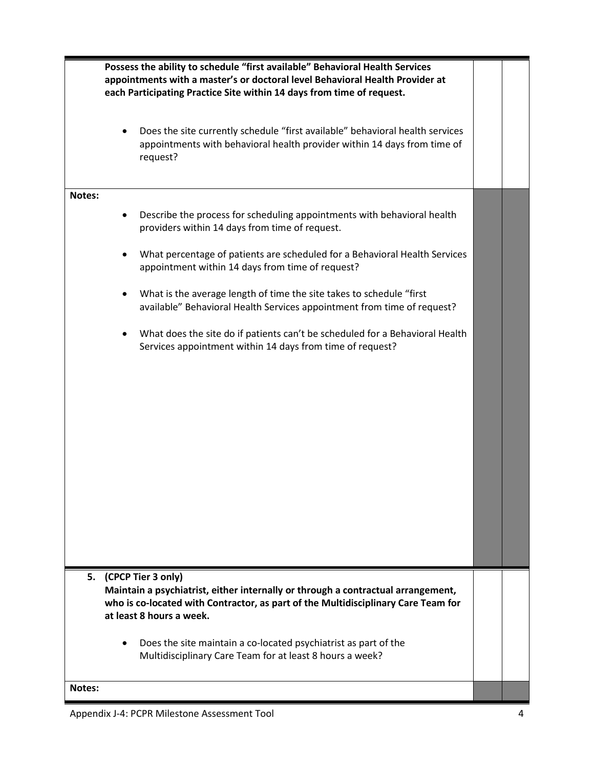|        | Possess the ability to schedule "first available" Behavioral Health Services<br>appointments with a master's or doctoral level Behavioral Health Provider at<br>each Participating Practice Site within 14 days from time of request. |  |
|--------|---------------------------------------------------------------------------------------------------------------------------------------------------------------------------------------------------------------------------------------|--|
|        | Does the site currently schedule "first available" behavioral health services<br>appointments with behavioral health provider within 14 days from time of<br>request?                                                                 |  |
| Notes: |                                                                                                                                                                                                                                       |  |
|        | Describe the process for scheduling appointments with behavioral health<br>providers within 14 days from time of request.                                                                                                             |  |
|        | What percentage of patients are scheduled for a Behavioral Health Services<br>appointment within 14 days from time of request?                                                                                                        |  |
|        | What is the average length of time the site takes to schedule "first<br>available" Behavioral Health Services appointment from time of request?                                                                                       |  |
|        | What does the site do if patients can't be scheduled for a Behavioral Health<br>Services appointment within 14 days from time of request?                                                                                             |  |
|        |                                                                                                                                                                                                                                       |  |
|        |                                                                                                                                                                                                                                       |  |
|        |                                                                                                                                                                                                                                       |  |
|        |                                                                                                                                                                                                                                       |  |
|        |                                                                                                                                                                                                                                       |  |
|        |                                                                                                                                                                                                                                       |  |
|        | 5. (CPCP Tier 3 only)                                                                                                                                                                                                                 |  |
|        | Maintain a psychiatrist, either internally or through a contractual arrangement,                                                                                                                                                      |  |
|        | who is co-located with Contractor, as part of the Multidisciplinary Care Team for<br>at least 8 hours a week.                                                                                                                         |  |
|        | Does the site maintain a co-located psychiatrist as part of the<br>Multidisciplinary Care Team for at least 8 hours a week?                                                                                                           |  |
| Notes: |                                                                                                                                                                                                                                       |  |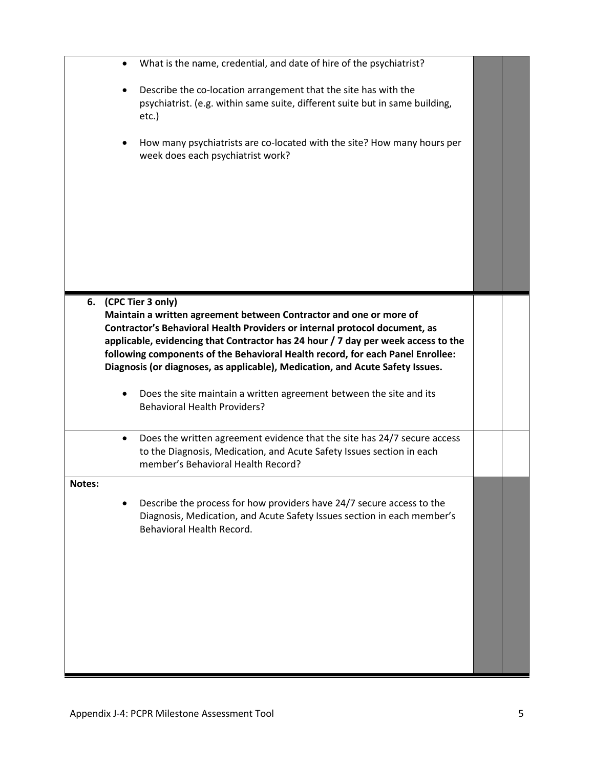|        |           | What is the name, credential, and date of hire of the psychiatrist?               |  |
|--------|-----------|-----------------------------------------------------------------------------------|--|
|        |           | Describe the co-location arrangement that the site has with the                   |  |
|        |           | psychiatrist. (e.g. within same suite, different suite but in same building,      |  |
|        |           | etc.)                                                                             |  |
|        |           |                                                                                   |  |
|        |           | How many psychiatrists are co-located with the site? How many hours per           |  |
|        |           | week does each psychiatrist work?                                                 |  |
|        |           |                                                                                   |  |
|        |           |                                                                                   |  |
|        |           |                                                                                   |  |
|        |           |                                                                                   |  |
|        |           |                                                                                   |  |
|        |           |                                                                                   |  |
|        |           |                                                                                   |  |
|        |           |                                                                                   |  |
|        |           |                                                                                   |  |
|        |           |                                                                                   |  |
| 6.     |           | (CPC Tier 3 only)                                                                 |  |
|        |           | Maintain a written agreement between Contractor and one or more of                |  |
|        |           | Contractor's Behavioral Health Providers or internal protocol document, as        |  |
|        |           | applicable, evidencing that Contractor has 24 hour / 7 day per week access to the |  |
|        |           | following components of the Behavioral Health record, for each Panel Enrollee:    |  |
|        |           | Diagnosis (or diagnoses, as applicable), Medication, and Acute Safety Issues.     |  |
|        |           |                                                                                   |  |
|        |           |                                                                                   |  |
|        |           | Does the site maintain a written agreement between the site and its               |  |
|        |           | <b>Behavioral Health Providers?</b>                                               |  |
|        |           |                                                                                   |  |
|        | $\bullet$ | Does the written agreement evidence that the site has 24/7 secure access          |  |
|        |           | to the Diagnosis, Medication, and Acute Safety Issues section in each             |  |
|        |           | member's Behavioral Health Record?                                                |  |
|        |           |                                                                                   |  |
| Notes: |           |                                                                                   |  |
|        |           | Describe the process for how providers have 24/7 secure access to the             |  |
|        |           | Diagnosis, Medication, and Acute Safety Issues section in each member's           |  |
|        |           | Behavioral Health Record.                                                         |  |
|        |           |                                                                                   |  |
|        |           |                                                                                   |  |
|        |           |                                                                                   |  |
|        |           |                                                                                   |  |
|        |           |                                                                                   |  |
|        |           |                                                                                   |  |
|        |           |                                                                                   |  |
|        |           |                                                                                   |  |
|        |           |                                                                                   |  |
|        |           |                                                                                   |  |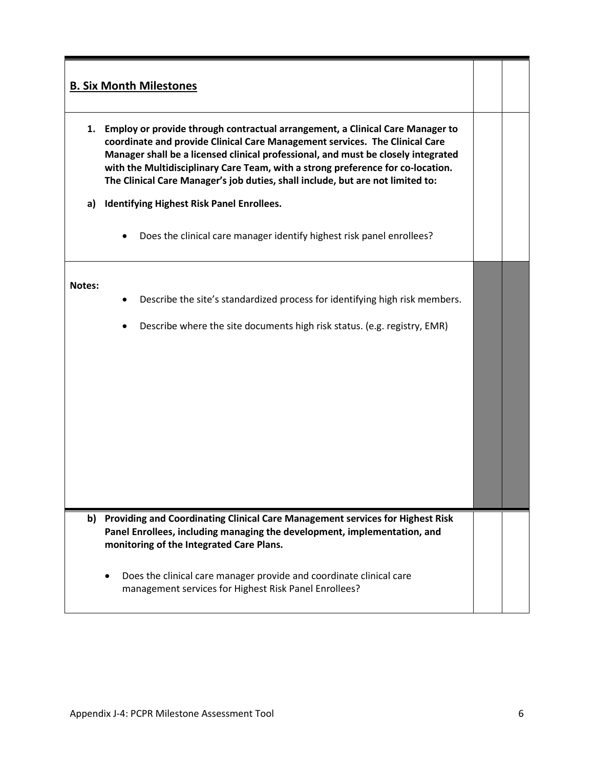## **B. Six Month Milestones**

- **1. Employ or provide through contractual arrangement, a Clinical Care Manager to coordinate and provide Clinical Care Management services. The Clinical Care Manager shall be a licensed clinical professional, and must be closely integrated with the Multidisciplinary Care Team, with a strong preference for co-location. The Clinical Care Manager's job duties, shall include, but are not limited to:**
- **a) Identifying Highest Risk Panel Enrollees.**
	- Does the clinical care manager identify highest risk panel enrollees?

## **Notes:**

- Describe the site's standardized process for identifying high risk members.
- Describe where the site documents high risk status. (e.g. registry, EMR)

- **b) Providing and Coordinating Clinical Care Management services for Highest Risk Panel Enrollees, including managing the development, implementation, and monitoring of the Integrated Care Plans.**
	- Does the clinical care manager provide and coordinate clinical care management services for Highest Risk Panel Enrollees?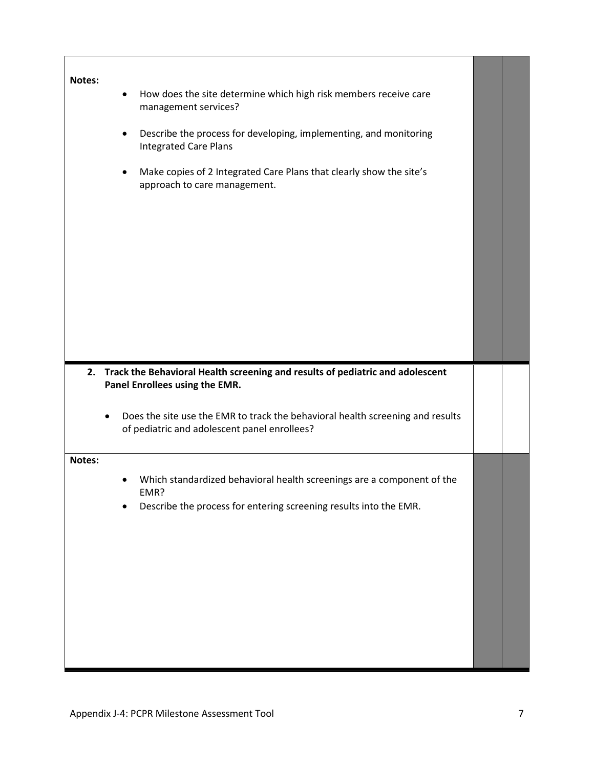| Notes: | How does the site determine which high risk members receive care<br>٠<br>management services?                                       |  |
|--------|-------------------------------------------------------------------------------------------------------------------------------------|--|
|        | Describe the process for developing, implementing, and monitoring<br>$\bullet$<br><b>Integrated Care Plans</b>                      |  |
|        | Make copies of 2 Integrated Care Plans that clearly show the site's<br>٠<br>approach to care management.                            |  |
|        |                                                                                                                                     |  |
|        |                                                                                                                                     |  |
|        |                                                                                                                                     |  |
|        |                                                                                                                                     |  |
|        | 2. Track the Behavioral Health screening and results of pediatric and adolescent<br>Panel Enrollees using the EMR.                  |  |
|        | Does the site use the EMR to track the behavioral health screening and results<br>٠<br>of pediatric and adolescent panel enrollees? |  |
| Notes: |                                                                                                                                     |  |
|        | Which standardized behavioral health screenings are a component of the<br>FMR?                                                      |  |
|        | Describe the process for entering screening results into the EMR.                                                                   |  |
|        |                                                                                                                                     |  |
|        |                                                                                                                                     |  |
|        |                                                                                                                                     |  |
|        |                                                                                                                                     |  |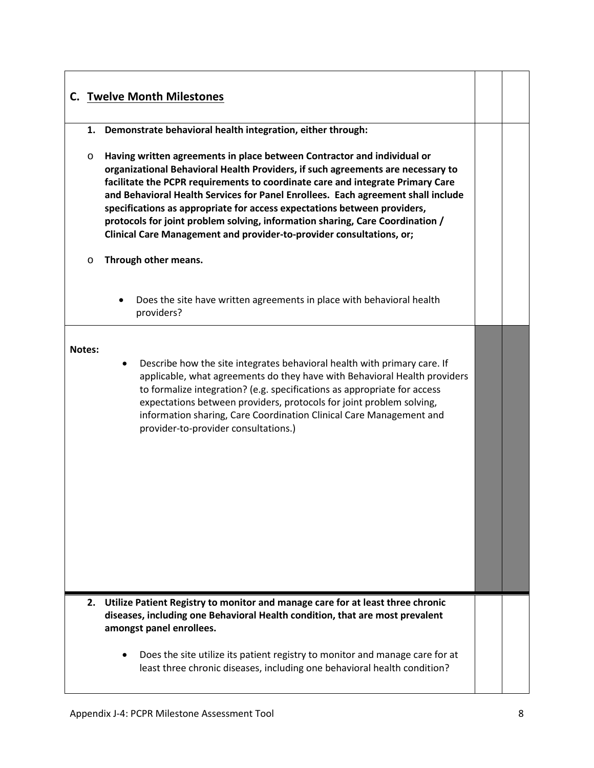## **C. Twelve Month Milestones 1. Demonstrate behavioral health integration, either through:** o **Having written agreements in place between Contractor and individual or organizational Behavioral Health Providers, if such agreements are necessary to facilitate the PCPR requirements to coordinate care and integrate Primary Care and Behavioral Health Services for Panel Enrollees. Each agreement shall include specifications as appropriate for access expectations between providers, protocols for joint problem solving, information sharing, Care Coordination / Clinical Care Management and provider-to-provider consultations, or;**  o **Through other means.** • Does the site have written agreements in place with behavioral health providers? **Notes:**  • Describe how the site integrates behavioral health with primary care. If applicable, what agreements do they have with Behavioral Health providers to formalize integration? (e.g. specifications as appropriate for access expectations between providers, protocols for joint problem solving, information sharing, Care Coordination Clinical Care Management and provider-to-provider consultations.) **2. Utilize Patient Registry to monitor and manage care for at least three chronic diseases, including one Behavioral Health condition, that are most prevalent amongst panel enrollees.** • Does the site utilize its patient registry to monitor and manage care for at least three chronic diseases, including one behavioral health condition?